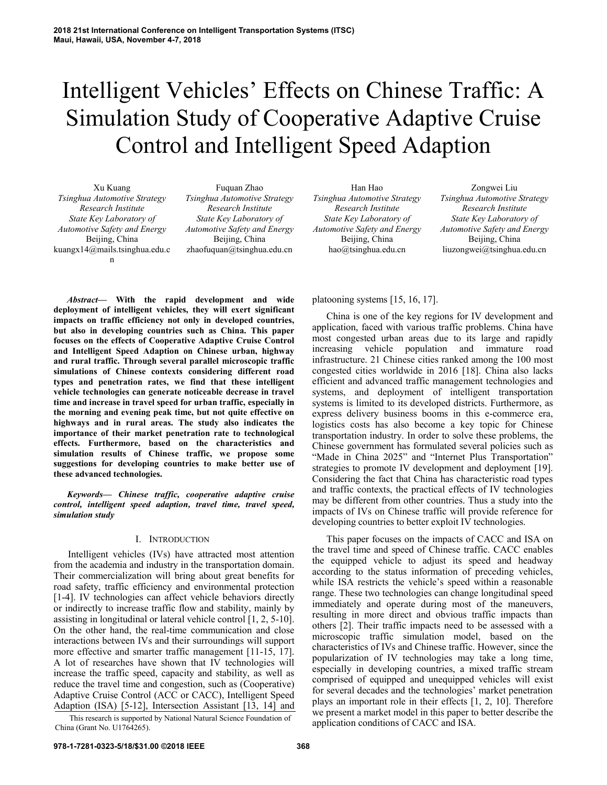# Intelligent Vehicles' Effects on Chinese Traffic: A Simulation Study of Cooperative Adaptive Cruise Control and Intelligent Speed Adaption

Xu Kuang *Tsinghua Automotive Strategy Research Institute State Key Laboratory of Automotive Safety and Energy* Beijing, China kuangx14@mails.tsinghua.edu.c n

Fuquan Zhao *Tsinghua Automotive Strategy Research Institute State Key Laboratory of Automotive Safety and Energy* Beijing, China zhaofuquan@tsinghua.edu.cn

Han Hao *Tsinghua Automotive Strategy Research Institute State Key Laboratory of Automotive Safety and Energy* Beijing, China hao@tsinghua.edu.cn

Zongwei Liu *Tsinghua Automotive Strategy Research Institute State Key Laboratory of Automotive Safety and Energy* Beijing, China liuzongwei@tsinghua.edu.cn

*Abstract***— With the rapid development and wide deployment of intelligent vehicles, they will exert significant impacts on traffic efficiency not only in developed countries, but also in developing countries such as China. This paper focuses on the effects of Cooperative Adaptive Cruise Control and Intelligent Speed Adaption on Chinese urban, highway and rural traffic. Through several parallel microscopic traffic simulations of Chinese contexts considering different road types and penetration rates, we find that these intelligent vehicle technologies can generate noticeable decrease in travel time and increase in travel speed for urban traffic, especially in the morning and evening peak time, but not quite effective on highways and in rural areas. The study also indicates the importance of their market penetration rate to technological effects. Furthermore, based on the characteristics and simulation results of Chinese traffic, we propose some suggestions for developing countries to make better use of these advanced technologies.**

*Keywords— Chinese traffic, cooperative adaptive cruise control, intelligent speed adaption, travel time, travel speed, simulation study*

# I. INTRODUCTION

Intelligent vehicles (IVs) have attracted most attention from the academia and industry in the transportation domain. Their commercialization will bring about great benefits for road safety, traffic efficiency and environmental protection [1-4]. IV technologies can affect vehicle behaviors directly or indirectly to increase traffic flow and stability, mainly by assisting in longitudinal or lateral vehicle control [1, 2, 5-10]. On the other hand, the real-time communication and close interactions between IVs and their surroundings will support more effective and smarter traffic management [11-15, 17]. A lot of researches have shown that IV technologies will increase the traffic speed, capacity and stability, as well as reduce the travel time and congestion, such as (Cooperative) Adaptive Cruise Control (ACC or CACC), Intelligent Speed Adaption (ISA) [5-12], Intersection Assistant [13, 14] and platooning systems [15, 16, 17].

China is one of the key regions for IV development and application, faced with various traffic problems. China have most congested urban areas due to its large and rapidly increasing vehicle population and immature road infrastructure. 21 Chinese cities ranked among the 100 most congested cities worldwide in 2016 [18]. China also lacks efficient and advanced traffic management technologies and systems, and deployment of intelligent transportation systems is limited to its developed districts. Furthermore, as express delivery business booms in this e-commerce era, logistics costs has also become a key topic for Chinese transportation industry. In order to solve these problems, the Chinese government has formulated several policies such as "Made in China 2025" and "Internet Plus Transportation" strategies to promote IV development and deployment [19]. Considering the fact that China has characteristic road types and traffic contexts, the practical effects of IV technologies may be different from other countries. Thus a study into the impacts of IVs on Chinese traffic will provide reference for developing countries to better exploit IV technologies.

This paper focuses on the impacts of CACC and ISA on the travel time and speed of Chinese traffic. CACC enables the equipped vehicle to adjust its speed and headway according to the status information of preceding vehicles, while ISA restricts the vehicle's speed within a reasonable range. These two technologies can change longitudinal speed immediately and operate during most of the maneuvers, resulting in more direct and obvious traffic impacts than others [2]. Their traffic impacts need to be assessed with a microscopic traffic simulation model, based on the characteristics of IVs and Chinese traffic. However, since the popularization of IV technologies may take a long time, especially in developing countries, a mixed traffic stream comprised of equipped and unequipped vehicles will exist for several decades and the technologies' market penetration plays an important role in their effects [1, 2, 10]. Therefore we present a market model in this paper to better describe the

This research is supported by National Natural Science Foundation of we present a market model in this paper to application conditions of CACC and ISA. China (Grant No. U1764265).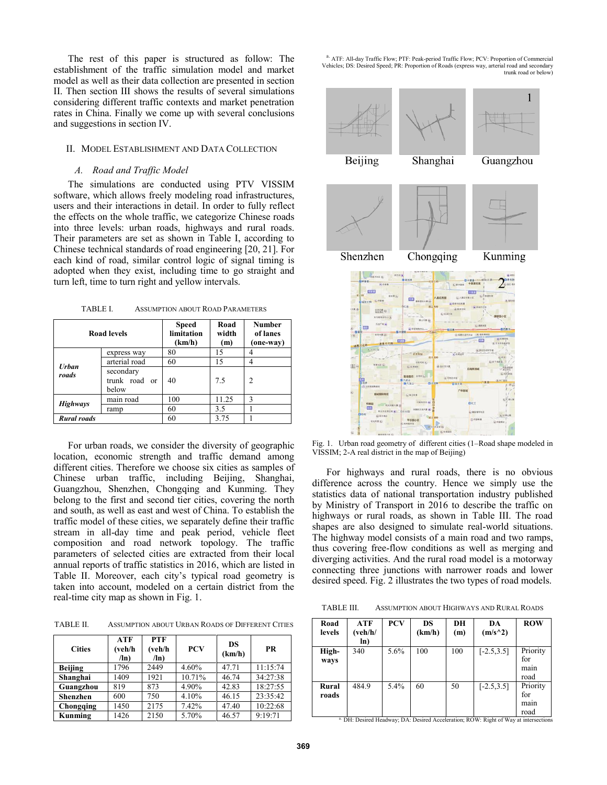The rest of this paper is structured as follow: The establishment of the traffic simulation model and market model as well as their data collection are presented in section II. Then section III shows the results of several simulations considering different traffic contexts and market penetration rates in China. Finally we come up with several conclusions and suggestions in section IV.

# II. MODEL ESTABLISHMENT AND DATA COLLECTION

# *A. Road and Traffic Model*

The simulations are conducted using PTV VISSIM software, which allows freely modeling road infrastructures, users and their interactions in detail. In order to fully reflect the effects on the whole traffic, we categorize Chinese roads into three levels: urban roads, highways and rural roads. Their parameters are set as shown in Table I, according to Chinese technical standards of road engineering [20, 21]. For each kind of road, similar control logic of signal timing is adopted when they exist, including time to go straight and turn left, time to turn right and yellow intervals.

TABLE I. ASSUMPTION ABOUT ROAD PARAMETERS

| Road levels        |                                     | <b>Speed</b><br>limitation<br>(km/h) | Road<br>width<br>(m) | <b>Number</b><br>of lanes<br>(one-way) |
|--------------------|-------------------------------------|--------------------------------------|----------------------|----------------------------------------|
| Urban<br>roads     | express way                         | 80                                   | 15                   |                                        |
|                    | arterial road                       | 60                                   | 15                   | 4                                      |
|                    | secondary<br>trunk road or<br>below | 40                                   | 7.5                  | $\overline{c}$                         |
| <b>Highways</b>    | main road                           | 100                                  | 11.25                | $\mathcal{R}$                          |
|                    | ramp                                | 60                                   | 3.5                  |                                        |
| <b>Rural roads</b> |                                     | 60                                   | 3.75                 |                                        |

For urban roads, we consider the diversity of geographic location, economic strength and traffic demand among different cities. Therefore we choose six cities as samples of Chinese urban traffic, including Beijing, Shanghai, Guangzhou, Shenzhen, Chongqing and Kunming. They belong to the first and second tier cities, covering the north and south, as well as east and west of China. To establish the traffic model of these cities, we separately define their traffic stream in all-day time and peak period, vehicle fleet composition and road network topology. The traffic parameters of selected cities are extracted from their local annual reports of traffic statistics in 2016, which are listed in Table II. Moreover, each city's typical road geometry is taken into account, modeled on a certain district from the real-time city map as shown in Fig. 1.

TABLE II. ASSUMPTION ABOUT URBAN ROADS OF DIFFERENT CITIES

| <b>Cities</b>   | <b>ATF</b><br>(veh/h<br>$\ln$ | PTF<br>(veh/h<br>$(\ln)$ | <b>PCV</b> | DS<br>(km/h) | <b>PR</b> |
|-----------------|-------------------------------|--------------------------|------------|--------------|-----------|
| <b>Beijing</b>  | 1796                          | 2449                     | $4.60\%$   | 47.71        | 11:15:74  |
| Shanghai        | 1409                          | 1921                     | 10.71%     | 46.74        | 34:27:38  |
| Guangzhou       | 819                           | 873                      | 4.90%      | 42.83        | 18:27:55  |
| <b>Shenzhen</b> | 600                           | 750                      | 4.10%      | 46.15        | 23:35:42  |
| Chongqing       | 1450                          | 2175                     | 7.42%      | 47.40        | 10:22:68  |
| Kunming         | 1426                          | 2150                     | 5.70%      | 46.57        | 9:19:71   |

a. ATF: All-day Traffic Flow; PTF: Peak-period Traffic Flow; PCV: Proportion of Commercial Vehicles; DS: Desired Speed; PR: Proportion of Roads (express way, arterial road and secondary trunk road or below)



Fig. 1. Urban road geometry of different cities (1–Road shape modeled in VISSIM; 2-A real district in the map of Beijing)

For highways and rural roads, there is no obvious difference across the country. Hence we simply use the statistics data of national transportation industry published by Ministry of Transport in 2016 to describe the traffic on highways or rural roads, as shown in Table III. The road shapes are also designed to simulate real-world situations. The highway model consists of a main road and two ramps, thus covering free-flow conditions as well as merging and diverging activities. And the rural road model is a motorway connecting three junctions with narrower roads and lower desired speed. Fig. 2 illustrates the two types of road models.

TABLE III. ASSUMPTION ABOUT HIGHWAYS AND RURAL ROADS

| Road<br>levels | <b>ATF</b><br>(veh/h/<br>ln)                            | <b>PCV</b> | DS<br>(km/h) | DН<br>(m) | DA<br>$(m/s^2)$ | <b>ROW</b>                      |
|----------------|---------------------------------------------------------|------------|--------------|-----------|-----------------|---------------------------------|
| High-<br>ways  | 340                                                     | 5.6%       | 100          | 100       | $[-2.5, 3.5]$   | Priority<br>for<br>main<br>road |
| Rural<br>roads | 484.9<br>$\sim$ DILD : HILL DID : HILL DOMED'S CHILICHE | 5.4%       | 60           | 50        | $[-2.5, 3.5]$   | Priority<br>for<br>main<br>road |

DH: Desired Headway; DA: Desired Acceleration; ROW: Right of Way at intersections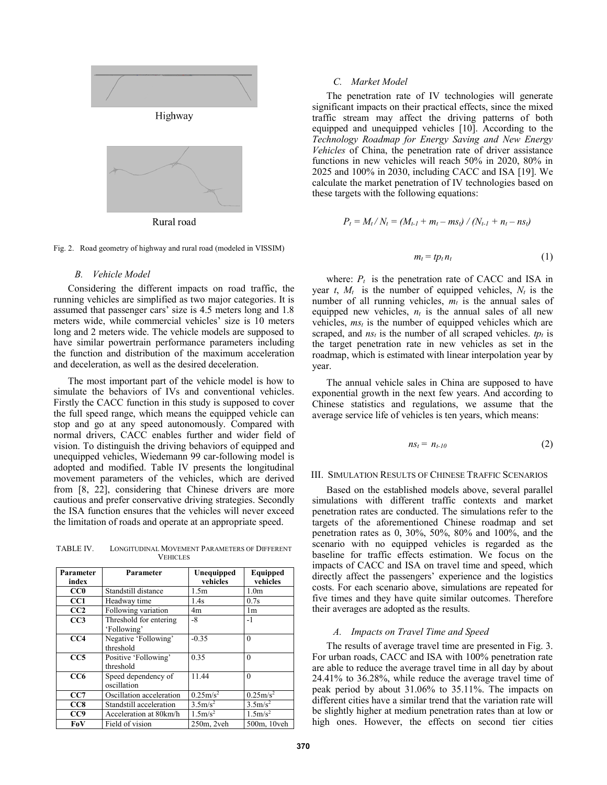

Fig. 2. Road geometry of highway and rural road (modeled in VISSIM)

#### *B. Vehicle Model*

Considering the different impacts on road traffic, the running vehicles are simplified as two major categories. It is assumed that passenger cars' size is 4.5 meters long and 1.8 meters wide, while commercial vehicles' size is 10 meters long and 2 meters wide. The vehicle models are supposed to have similar powertrain performance parameters including the function and distribution of the maximum acceleration and deceleration, as well as the desired deceleration.

The most important part of the vehicle model is how to simulate the behaviors of IVs and conventional vehicles. Firstly the CACC function in this study is supposed to cover the full speed range, which means the equipped vehicle can stop and go at any speed autonomously. Compared with normal drivers, CACC enables further and wider field of vision. To distinguish the driving behaviors of equipped and unequipped vehicles, Wiedemann 99 car-following model is adopted and modified. Table IV presents the longitudinal movement parameters of the vehicles, which are derived from [8, 22], considering that Chinese drivers are more cautious and prefer conservative driving strategies. Secondly the ISA function ensures that the vehicles will never exceed the limitation of roads and operate at an appropriate speed.

TABLE IV. LONGITUDINAL MOVEMENT PARAMETERS OF DIFFERENT **VEHICLES** 

| Parameter       | Parameter                             | Unequipped          | Equipped           |
|-----------------|---------------------------------------|---------------------|--------------------|
| index           |                                       | vehicles            | vehicles           |
| CC0             | Standstill distance                   | 1.5m                | 1.0 <sub>m</sub>   |
| CC <sub>1</sub> | Headway time                          | 1.4s                | 0.7s               |
| CC2             | Following variation                   | 4 <sub>m</sub>      | 1m                 |
| CC3             | Threshold for entering<br>'Following' | -8                  | $-1$               |
| CC4             | Negative 'Following'<br>threshold     | $-0.35$             | $\theta$           |
| CC5             | Positive 'Following'<br>threshold     | 0.35                | $\theta$           |
| CC6             | Speed dependency of<br>oscillation    | 11.44               | $\theta$           |
| CC7             | Oscillation acceleration              | $0.25 \text{m/s}^2$ | $0.25m/s^2$        |
| CC8             | Standstill acceleration               | $3.5 \text{m/s}^2$  | $3.5 \text{m/s}^2$ |
| CC <sub>9</sub> | Acceleration at 80km/h                | $1.5 \text{m/s}^2$  | $1.5 \text{m/s}^2$ |
| FoV             | Field of vision                       | 250m, 2veh          | 500m, 10veh        |

# *C. Market Model*

The penetration rate of IV technologies will generate significant impacts on their practical effects, since the mixed traffic stream may affect the driving patterns of both equipped and unequipped vehicles [10]. According to the *Technology Roadmap for Energy Saving and New Energy Vehicles* of China, the penetration rate of driver assistance functions in new vehicles will reach 50% in 2020, 80% in 2025 and 100% in 2030, including CACC and ISA [19]. We calculate the market penetration of IV technologies based on these targets with the following equations:

$$
P_t = M_t / N_t = (M_{t-1} + m_t - ms_t) / (N_{t-1} + n_t - ns_t)
$$

$$
m_t = tp_t n_t \tag{1}
$$

where:  $P_t$  is the penetration rate of CACC and ISA in year  $t$ ,  $M_t$  is the number of equipped vehicles,  $N_t$  is the number of all running vehicles,  $m_t$  is the annual sales of equipped new vehicles,  $n_t$  is the annual sales of all new vehicles, *ms<sup>t</sup>* is the number of equipped vehicles which are scraped, and  $ns_t$  is the number of all scraped vehicles.  $tp_t$  is the target penetration rate in new vehicles as set in the roadmap, which is estimated with linear interpolation year by year.

The annual vehicle sales in China are supposed to have exponential growth in the next few years. And according to Chinese statistics and regulations, we assume that the average service life of vehicles is ten years, which means:

$$
ns_t = n_{t-10} \tag{2}
$$

## III. SIMULATION RESULTS OF CHINESE TRAFFIC SCENARIOS

Based on the established models above, several parallel simulations with different traffic contexts and market penetration rates are conducted. The simulations refer to the targets of the aforementioned Chinese roadmap and set penetration rates as 0, 30%, 50%, 80% and 100%, and the scenario with no equipped vehicles is regarded as the baseline for traffic effects estimation. We focus on the impacts of CACC and ISA on travel time and speed, which directly affect the passengers' experience and the logistics costs. For each scenario above, simulations are repeated for five times and they have quite similar outcomes. Therefore their averages are adopted as the results.

#### *A. Impacts on Travel Time and Speed*

The results of average travel time are presented in Fig. 3. For urban roads, CACC and ISA with 100% penetration rate are able to reduce the average travel time in all day by about 24.41% to 36.28%, while reduce the average travel time of peak period by about 31.06% to 35.11%. The impacts on different cities have a similar trend that the variation rate will be slightly higher at medium penetration rates than at low or high ones. However, the effects on second tier cities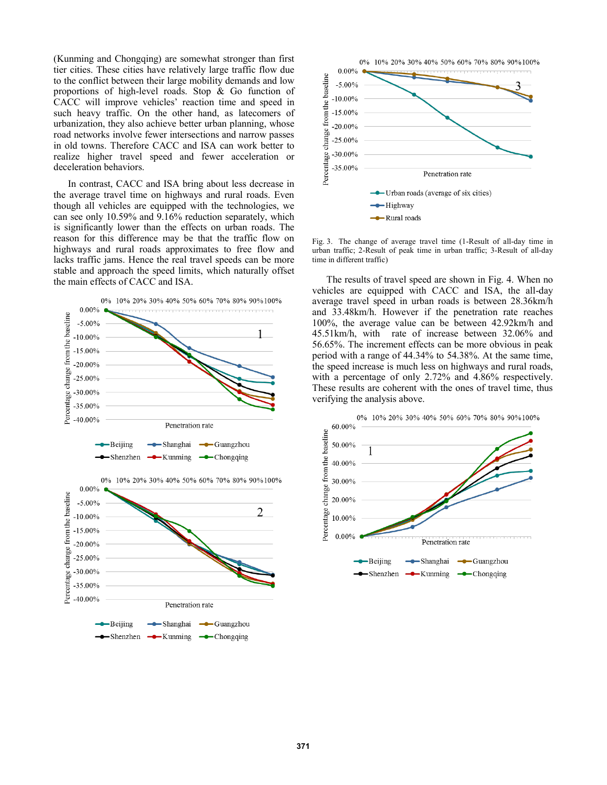(Kunming and Chongqing) are somewhat stronger than first tier cities. These cities have relatively large traffic flow due to the conflict between their large mobility demands and low proportions of high-level roads. Stop & Go function of CACC will improve vehicles' reaction time and speed in such heavy traffic. On the other hand, as latecomers of urbanization, they also achieve better urban planning, whose road networks involve fewer intersections and narrow passes in old towns. Therefore CACC and ISA can work better to realize higher travel speed and fewer acceleration or deceleration behaviors.

In contrast, CACC and ISA bring about less decrease in the average travel time on highways and rural roads. Even though all vehicles are equipped with the technologies, we can see only 10.59% and 9.16% reduction separately, which is significantly lower than the effects on urban roads. The reason for this difference may be that the traffic flow on highways and rural roads approximates to free flow and lacks traffic jams. Hence the real travel speeds can be more stable and approach the speed limits, which naturally offset the main effects of CACC and ISA.





Fig. 3. The change of average travel time (1-Result of all-day time in urban traffic; 2-Result of peak time in urban traffic; 3-Result of all-day time in different traffic)

The results of travel speed are shown in Fig. 4. When no vehicles are equipped with CACC and ISA, the all-day average travel speed in urban roads is between 28.36km/h and 33.48km/h. However if the penetration rate reaches 100%, the average value can be between 42.92km/h and 45.51km/h, with rate of increase between 32.06% and 56.65%. The increment effects can be more obvious in peak period with a range of 44.34% to 54.38%. At the same time, the speed increase is much less on highways and rural roads, with a percentage of only 2.72% and 4.86% respectively. These results are coherent with the ones of travel time, thus verifying the analysis above.

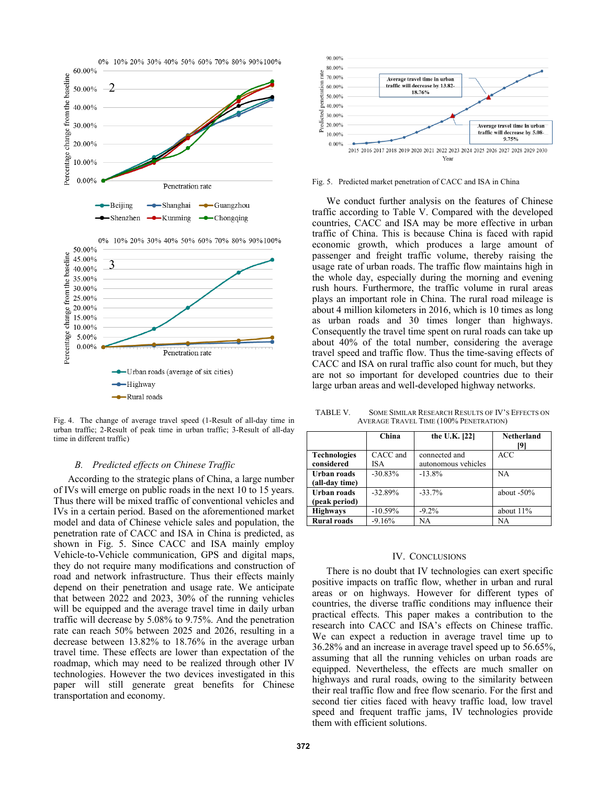

Fig. 4. The change of average travel speed (1-Result of all-day time in urban traffic; 2-Result of peak time in urban traffic; 3-Result of all-day time in different traffic)

## *B. Predicted effects on Chinese Traffic*

According to the strategic plans of China, a large number of IVs will emerge on public roads in the next 10 to 15 years. Thus there will be mixed traffic of conventional vehicles and IVs in a certain period. Based on the aforementioned market model and data of Chinese vehicle sales and population, the penetration rate of CACC and ISA in China is predicted, as shown in Fig. 5. Since CACC and ISA mainly employ Vehicle-to-Vehicle communication, GPS and digital maps, they do not require many modifications and construction of road and network infrastructure. Thus their effects mainly depend on their penetration and usage rate. We anticipate that between 2022 and 2023, 30% of the running vehicles will be equipped and the average travel time in daily urban traffic will decrease by 5.08% to 9.75%. And the penetration rate can reach 50% between 2025 and 2026, resulting in a decrease between 13.82% to 18.76% in the average urban travel time. These effects are lower than expectation of the roadmap, which may need to be realized through other IV technologies. However the two devices investigated in this paper will still generate great benefits for Chinese transportation and economy.



Fig. 5. Predicted market penetration of CACC and ISA in China

We conduct further analysis on the features of Chinese traffic according to Table V. Compared with the developed countries, CACC and ISA may be more effective in urban traffic of China. This is because China is faced with rapid economic growth, which produces a large amount of passenger and freight traffic volume, thereby raising the usage rate of urban roads. The traffic flow maintains high in the whole day, especially during the morning and evening rush hours. Furthermore, the traffic volume in rural areas plays an important role in China. The rural road mileage is about 4 million kilometers in 2016, which is 10 times as long as urban roads and 30 times longer than highways. Consequently the travel time spent on rural roads can take up about 40% of the total number, considering the average travel speed and traffic flow. Thus the time-saving effects of CACC and ISA on rural traffic also count for much, but they are not so important for developed countries due to their large urban areas and well-developed highway networks.

TABLE V. SOME SIMILAR RESEARCH RESULTS OF IV'S EFFECTS ON AVERAGE TRAVEL TIME (100% PENETRATION)

|                     | China     | the U.K. [22]       | <b>Netherland</b> |
|---------------------|-----------|---------------------|-------------------|
|                     |           |                     | [9]               |
| <b>Technologies</b> | CACC and  | connected and       | ACC               |
| considered          | ISA       | autonomous vehicles |                   |
| Urban roads         | $-30.83%$ | $-13.8%$            | <b>NA</b>         |
| (all-day time)      |           |                     |                   |
| Urban roads         | $-32.89%$ | $-33.7%$            | about $-50\%$     |
| (peak period)       |           |                     |                   |
| <b>Highways</b>     | $-10.59%$ | $-9.2\%$            | about $11\%$      |
| <b>Rural roads</b>  | $-9.16%$  | NA                  | NA                |

#### IV. CONCLUSIONS

There is no doubt that IV technologies can exert specific positive impacts on traffic flow, whether in urban and rural areas or on highways. However for different types of countries, the diverse traffic conditions may influence their practical effects. This paper makes a contribution to the research into CACC and ISA's effects on Chinese traffic. We can expect a reduction in average travel time up to 36.28% and an increase in average travel speed up to 56.65%, assuming that all the running vehicles on urban roads are equipped. Nevertheless, the effects are much smaller on highways and rural roads, owing to the similarity between their real traffic flow and free flow scenario. For the first and second tier cities faced with heavy traffic load, low travel speed and frequent traffic jams, IV technologies provide them with efficient solutions.